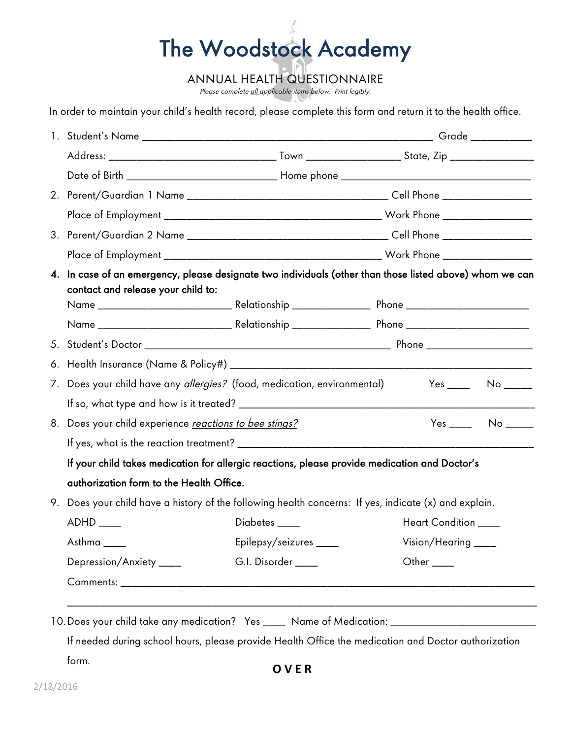## The Woodstock Academy

ANNUAL HEALTH QUESTIONNAIRE

Please complete all applicable items below. Print legibly.

In order to maintain your child's health record, please complete this form and return it to the health office.

| 3. |                                                                                                                                                |                         |                                                                                                     |  |  |
|----|------------------------------------------------------------------------------------------------------------------------------------------------|-------------------------|-----------------------------------------------------------------------------------------------------|--|--|
|    |                                                                                                                                                |                         |                                                                                                     |  |  |
|    | 4. In case of an emergency, please designate two individuals (other than those listed above) whom we can<br>contact and release your child to: |                         |                                                                                                     |  |  |
|    |                                                                                                                                                |                         |                                                                                                     |  |  |
|    |                                                                                                                                                |                         |                                                                                                     |  |  |
| 6. |                                                                                                                                                |                         |                                                                                                     |  |  |
| 7. | Does your child have any <u>allergies? (</u> food, medication, environmental)                                                                  |                         |                                                                                                     |  |  |
|    |                                                                                                                                                |                         |                                                                                                     |  |  |
| 8. | Does your child experience reactions to bee stings?                                                                                            |                         | $Yes$ No $\_\_\_\_\$                                                                                |  |  |
|    |                                                                                                                                                |                         |                                                                                                     |  |  |
|    | If your child takes medication for allergic reactions, please provide medication and Doctor's                                                  |                         |                                                                                                     |  |  |
|    | authorization form to the Health Office.                                                                                                       |                         |                                                                                                     |  |  |
|    | 9. Does your child have a history of the following health concerns: If yes, indicate (x) and explain.                                          |                         |                                                                                                     |  |  |
|    |                                                                                                                                                | Diabetes ____           | Heart Condition ____                                                                                |  |  |
|    | Asthma_                                                                                                                                        | Epilepsy/seizures _____ | Vision/Hearing ____                                                                                 |  |  |
|    | Depression/Anxiety ____                                                                                                                        | G.I. Disorder ____      | Other $\_\_$                                                                                        |  |  |
|    |                                                                                                                                                |                         |                                                                                                     |  |  |
|    |                                                                                                                                                |                         |                                                                                                     |  |  |
|    |                                                                                                                                                |                         | 10. Does your child take any medication? Yes _____ Name of Medication: ____________________________ |  |  |
|    |                                                                                                                                                |                         | If needed during school hours, please provide Health Office the medication and Doctor authorization |  |  |